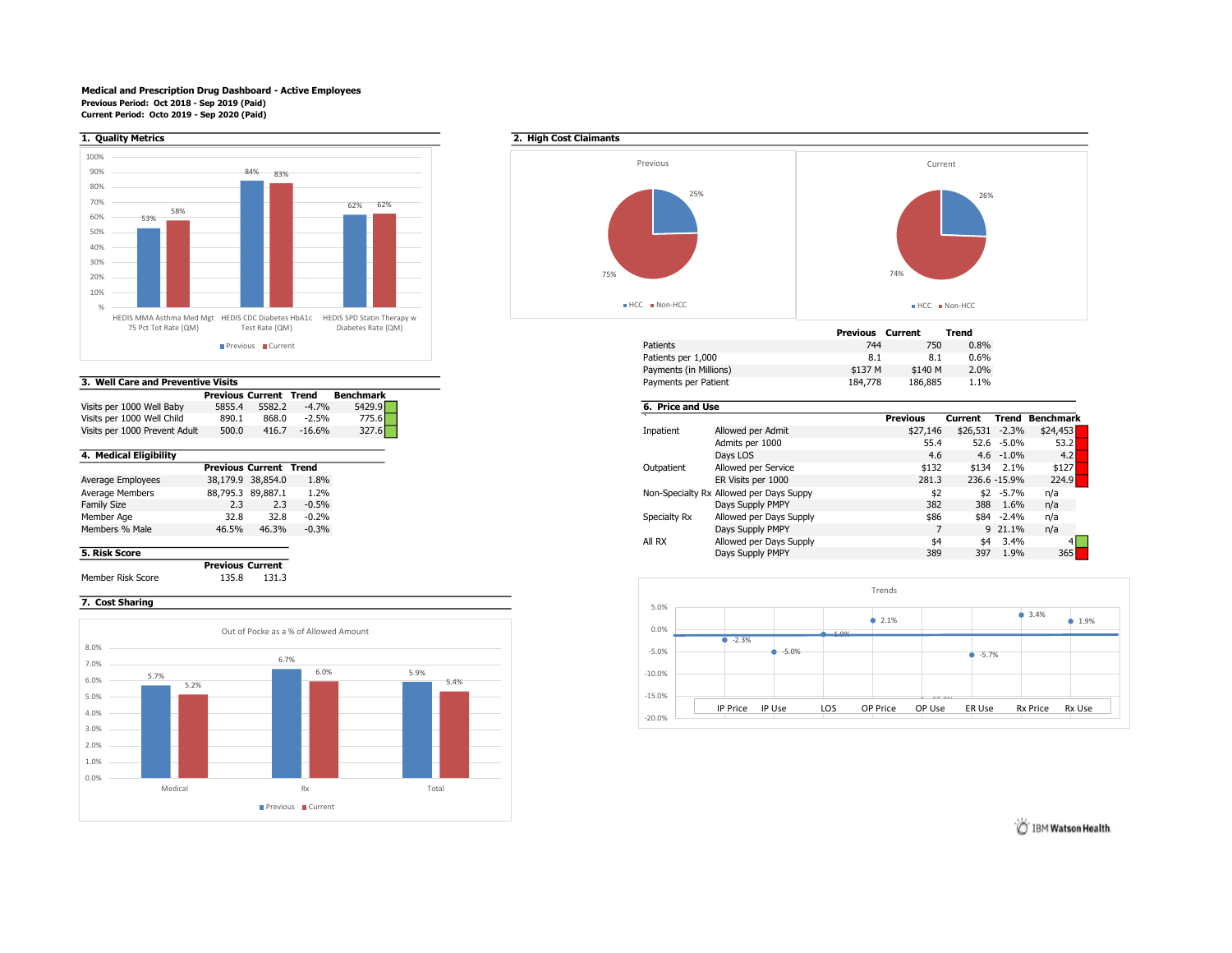### Medical and Prescription Drug Dashboard - Active Employees Previous Period: Oct 2018 - Sep 2019 (Paid) Current Period: Octo 2019 - Sep 2020 (Paid)



## 3. Well Care and Preventive Visits

|                               | <b>Previous Current Trend</b> |        |          | Benchmark |  |
|-------------------------------|-------------------------------|--------|----------|-----------|--|
| Visits per 1000 Well Baby     | 5855.4                        | 5582.2 | $-4.7%$  | 5429.9    |  |
| Visits per 1000 Well Child    | 890.1                         | 868.0  | $-2.5%$  | 775.6     |  |
| Visits per 1000 Prevent Adult | 500.0                         | 416.7  | $-16.6%$ | 327.6     |  |

|                    | <b>Previous Current Trend</b> |                   |         |
|--------------------|-------------------------------|-------------------|---------|
| Average Employees  |                               | 38,179.9 38,854.0 | 1.8%    |
| Average Members    |                               | 88,795.3 89,887.1 | 1.2%    |
| <b>Family Size</b> | 2.3                           | 2.3               | $-0.5%$ |
| Member Age         | 32.8                          | 32.8              | $-0.2%$ |
| Members % Male     | 46.5%                         | 46.3%             | $-0.3%$ |
|                    |                               |                   |         |

Previous Current Member Risk Score 135.8 131.3

# 7. Cost Sharing





|                        | Previous | Current | Trend |
|------------------------|----------|---------|-------|
| <b>Patients</b>        | 744      | 750     | 0.8%  |
| Patients per 1,000     | 8.1      | 8.1     | 0.6%  |
| Payments (in Millions) | \$137 M  | \$140 M | 2.0%  |
| Payments per Patient   | 184,778  | 186.885 | 1.1%  |

| Visits per 1000 Well Baby                                    | 5855.4 | 5582.2 | $-4.7%$ | 5429.9 | 6. Price and Use |                                         |                 |         |                |           |
|--------------------------------------------------------------|--------|--------|---------|--------|------------------|-----------------------------------------|-----------------|---------|----------------|-----------|
|                                                              | 890.1  | 868.0  | $-2.5%$ | 775.6  |                  |                                         | <b>Previous</b> | Current | Trend          | Benchmark |
| 500.0<br>Visits per 1000 Prevent Adult<br>416.7<br>$-16.6\%$ |        |        |         | 327.6  | Inpatient        | Allowed per Admit                       | \$27,146        |         | \$26,531 -2.3% | \$24,453  |
|                                                              |        |        |         |        |                  | Admits per 1000                         | 55.4            |         | 52.6 -5.0%     |           |
|                                                              |        |        |         |        |                  | Davs LOS                                | 4.6             |         | $4.6 - 1.0\%$  |           |
| <b>Previous Current Trend</b>                                |        |        |         |        | Outpatient       | Allowed per Service                     | \$132           |         | \$134 2.1%     | \$127     |
| 38,179.9 38,854.0                                            |        |        | 1.8%    |        |                  | ER Visits per 1000                      | 281.3           |         | 236.6 -15.9%   | 224.9     |
| 88,795.3 89,887.1                                            |        |        | 1.2%    |        |                  | Non-Specialty Rx Allowed per Days Suppy | \$2             |         | $$2 - 5.7\%$   | n/a       |
| 2.3<br>2.3                                                   |        |        | $-0.5%$ |        |                  | Days Supply PMPY                        | 382             | 388     | 1.6%           | n/a       |
|                                                              | 32.8   | 32.8   | $-0.2%$ |        | Specialty Rx     | Allowed per Days Supply                 | \$86            |         | \$84 -2.4%     | n/a       |
| 46.5%                                                        |        | 46.3%  | $-0.3%$ |        |                  | Days Supply PMPY                        |                 |         | 9 21.1%        | n/a       |
|                                                              |        |        |         |        | All RX           | Allowed per Days Supply                 | \$4             |         | \$4 3.4%       |           |
|                                                              |        |        |         |        |                  | Days Supply PMPY                        | 389             | 397     | 1.9%           |           |
|                                                              |        |        |         |        |                  |                                         |                 |         |                |           |



IBM Watson Health